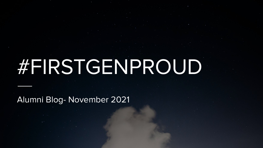# #FIRSTGENPROUD

Alumni Blog- November 2021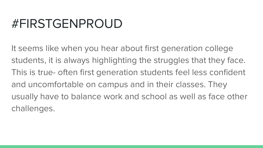#### #FIRSTGENPROUD

It seems like when you hear about first generation college students, it is always highlighting the struggles that they face. This is true- often first generation students feel less confident and uncomfortable on campus and in their classes. They usually have to balance work and school as well as face other challenges.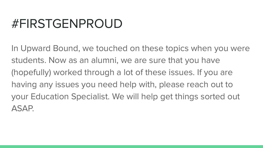#### #FIRSTGENPROUD

In Upward Bound, we touched on these topics when you were students. Now as an alumni, we are sure that you have (hopefully) worked through a lot of these issues. If you are having any issues you need help with, please reach out to your Education Specialist. We will help get things sorted out ASAP.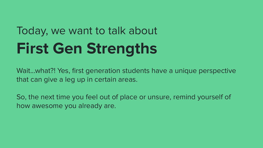## Today, we want to talk about **First Gen Strengths**

Wait...what?! Yes, first generation students have a unique perspective that can give a leg up in certain areas.

So, the next time you feel out of place or unsure, remind yourself of how awesome you already are.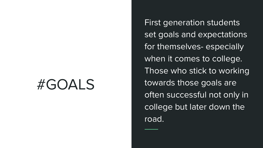#### #GOALS

First generation students set goals and expectations for themselves- especially when it comes to college. Those who stick to working towards those goals are often successful not only in college but later down the road.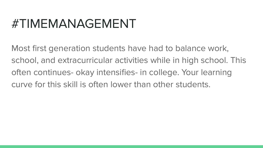#### #TIMEMANAGEMENT

Most first generation students have had to balance work, school, and extracurricular activities while in high school. This often continues- okay intensifies- in college. Your learning curve for this skill is often lower than other students.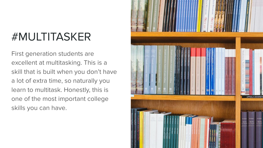#### #MULTITASKER

First generation students are excellent at multitasking. This is a skill that is built when you don't have a lot of extra time, so naturally you learn to multitask. Honestly, this is one of the most important college skills you can have.

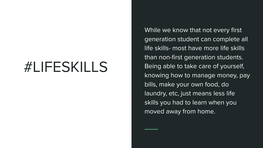### #LIFESKILLS

While we know that not every first generation student can complete all life skills- most have more life skills than non-first generation students. Being able to take care of yourself, knowing how to manage money, pay bills, make your own food, do laundry, etc, just means less life skills you had to learn when you moved away from home.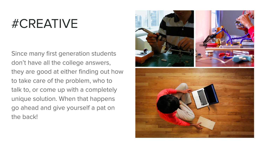#### #CREATIVE

Since many first generation students don't have all the college answers, they are good at either finding out how to take care of the problem, who to talk to, or come up with a completely unique solution. When that happens go ahead and give yourself a pat on the back!